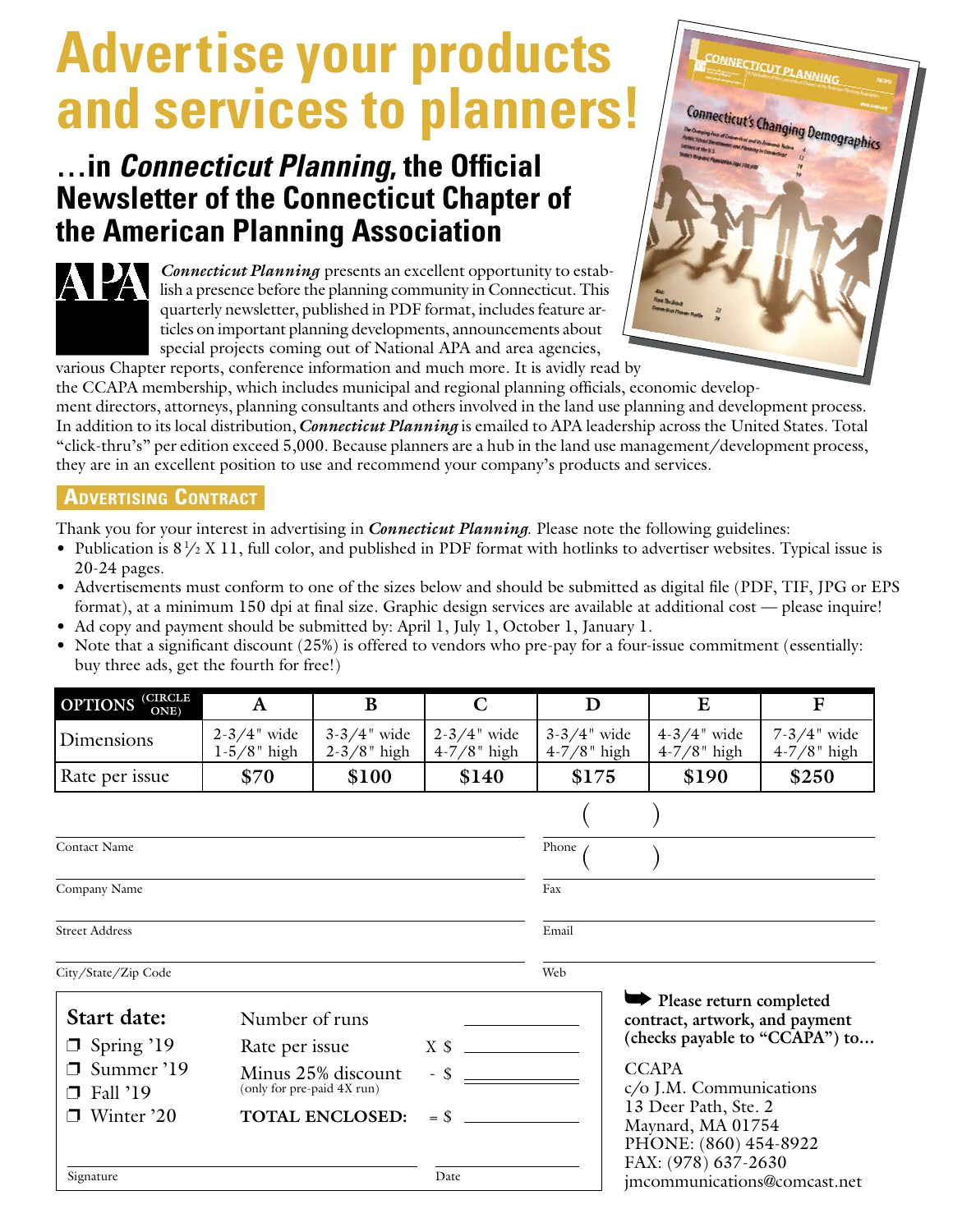## **Advertise your products and services to planners!**

## **…in** *Connecticut Planning***, the Official Newsletter of the Connecticut Chapter of the American Planning Association**

*Connecticut Planning* presents an excellent opportunity to establish a presence before the planning community in Connecticut. This quarterly newsletter, published in PDF format, includes feature articles on important planning developments, announcements about special projects coming out of National APA and area agencies, various Chapter reports, conference information and much more. It is avidly read by



the CCAPA membership, which includes municipal and regional planning officials, economic develop-

ment directors, attorneys, planning consultants and others involved in the land use planning and development process. In addition to its local distribution, *Connecticut Planning* is emailed to APA leadership across the United States. Total "click-thru's" per edition exceed 5,000. Because planners are a hub in the land use management/development process, they are in an excellent position to use and recommend your company's products and services.

## **ADVERTISING CONTRACT**

APA

Thank you for your interest in advertising in *Connecticut Planning*. Please note the following guidelines:

- Publication is  $8\frac{1}{2}$  X 11, full color, and published in PDF format with hotlinks to advertiser websites. Typical issue is 20-24 pages.
- Advertisements must conform to one of the sizes below and should be submitted as digital file (PDF, TIF, JPG or EPS format), at a minimum 150 dpi at final size. Graphic design services are available at additional cost — please inquire!
- Ad copy and payment should be submitted by: April 1, July 1, October 1, January 1.
- Note that a significant discount (25%) is offered to vendors who pre-pay for a four-issue commitment (essentially: buy three ads, get the fourth for free!)

| <b>OPTIONS</b> CIRCLE                       | A                                                                                            | B                                    | $\mathbf C$                          | D                                                                                                             | $\bf{E}$                                            | $\mathbf F$                          |
|---------------------------------------------|----------------------------------------------------------------------------------------------|--------------------------------------|--------------------------------------|---------------------------------------------------------------------------------------------------------------|-----------------------------------------------------|--------------------------------------|
| Dimensions                                  | $2 - 3/4$ " wide<br>$1-5/8$ " high                                                           | $3 - 3/4$ " wide<br>$2 - 3/8$ " high | $2 - 3/4$ " wide<br>$4 - 7/8$ " high | $3 - 3/4$ " wide<br>$4 - 7/8$ " high                                                                          | $4 - 3/4$ " wide<br>$4 - 7/8$ " high                | $7 - 3/4$ " wide<br>$4 - 7/8$ " high |
| Rate per issue                              | \$70                                                                                         | \$100                                | \$140                                | \$175                                                                                                         | \$190                                               | \$250                                |
|                                             |                                                                                              |                                      |                                      |                                                                                                               |                                                     |                                      |
| Contact Name                                |                                                                                              |                                      |                                      | Phone                                                                                                         |                                                     |                                      |
| Company Name                                |                                                                                              |                                      |                                      | Fax                                                                                                           |                                                     |                                      |
| <b>Street Address</b>                       |                                                                                              |                                      |                                      | Email                                                                                                         |                                                     |                                      |
| City/State/Zip Code                         |                                                                                              |                                      |                                      | Web                                                                                                           |                                                     |                                      |
| Start date:<br>Number of runs               |                                                                                              |                                      |                                      | Please return completed<br>contract, artwork, and payment<br>(checks payable to "CCAPA") to                   |                                                     |                                      |
| $\Box$ Spring '19<br>Summer '19<br>Fall '19 | Rate per issue<br>Minus 25% discount<br>(only for pre-paid 4X run)<br><b>TOTAL ENCLOSED:</b> |                                      |                                      | <b>CCAPA</b><br>c/o J.M. Communications<br>13 Deer Path, Ste. 2<br>Maynard, MA 01754<br>PHONE: (860) 454-8922 |                                                     |                                      |
| Winter '20                                  |                                                                                              |                                      |                                      |                                                                                                               |                                                     |                                      |
| Signature                                   |                                                                                              |                                      | Date                                 |                                                                                                               | FAX: (978) 637-2630<br>imcommunications@comcast.net |                                      |